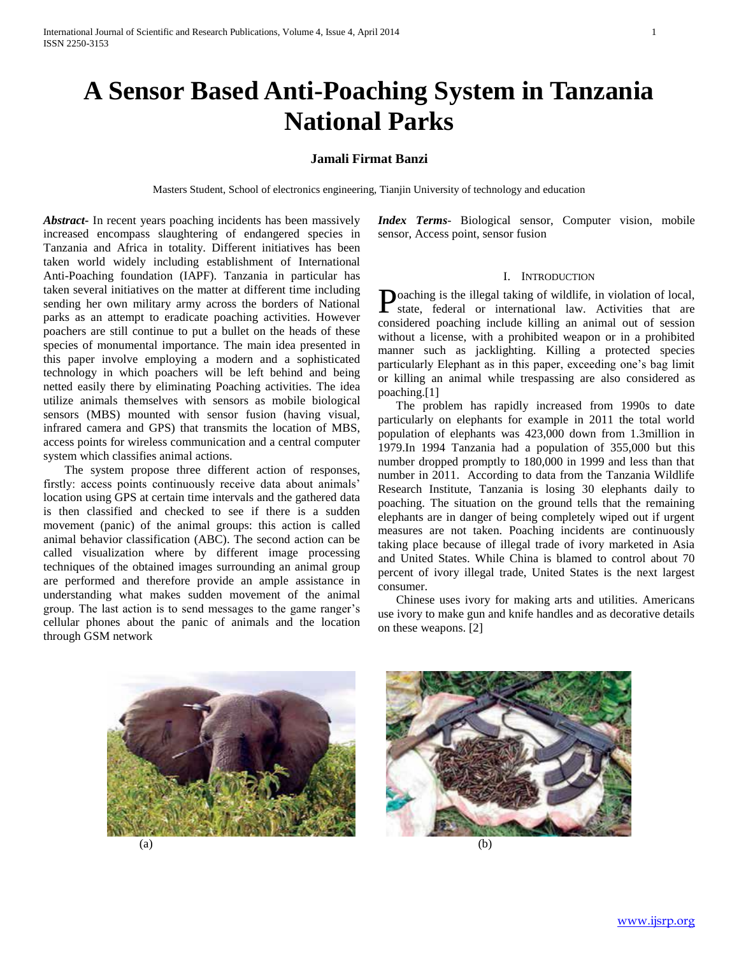# **A Sensor Based Anti-Poaching System in Tanzania National Parks**

## **Jamali Firmat Banzi**

Masters Student, School of electronics engineering, Tianjin University of technology and education

*Abstract***-** In recent years poaching incidents has been massively increased encompass slaughtering of endangered species in Tanzania and Africa in totality. Different initiatives has been taken world widely including establishment of International Anti-Poaching foundation (IAPF). Tanzania in particular has taken several initiatives on the matter at different time including sending her own military army across the borders of National parks as an attempt to eradicate poaching activities. However poachers are still continue to put a bullet on the heads of these species of monumental importance. The main idea presented in this paper involve employing a modern and a sophisticated technology in which poachers will be left behind and being netted easily there by eliminating Poaching activities. The idea utilize animals themselves with sensors as mobile biological sensors (MBS) mounted with sensor fusion (having visual, infrared camera and GPS) that transmits the location of MBS, access points for wireless communication and a central computer system which classifies animal actions.

 The system propose three different action of responses, firstly: access points continuously receive data about animals' location using GPS at certain time intervals and the gathered data is then classified and checked to see if there is a sudden movement (panic) of the animal groups: this action is called animal behavior classification (ABC). The second action can be called visualization where by different image processing techniques of the obtained images surrounding an animal group are performed and therefore provide an ample assistance in understanding what makes sudden movement of the animal group. The last action is to send messages to the game ranger's cellular phones about the panic of animals and the location through GSM network

*Index Terms*- Biological sensor, Computer vision, mobile sensor, Access point, sensor fusion

## I. INTRODUCTION

oaching is the illegal taking of wildlife, in violation of local, **P**oaching is the illegal taking of wildlife, in violation of local, state, federal or international law. Activities that are considered poaching include killing an animal out of session without a license, with a prohibited weapon or in a prohibited manner such as jacklighting. Killing a protected species particularly Elephant as in this paper, exceeding one's bag limit or killing an animal while trespassing are also considered as poaching.[1]

 The problem has rapidly increased from 1990s to date particularly on elephants for example in 2011 the total world population of elephants was 423,000 down from 1.3million in 1979.In 1994 Tanzania had a population of 355,000 but this number dropped promptly to 180,000 in 1999 and less than that number in 2011. According to data from the Tanzania Wildlife Research Institute, Tanzania is losing 30 elephants daily to poaching. The situation on the ground tells that the remaining elephants are in danger of being completely wiped out if urgent measures are not taken. Poaching incidents are continuously taking place because of illegal trade of ivory marketed in Asia and United States. While China is blamed to control about 70 percent of ivory illegal trade, United States is the next largest consumer.

 Chinese uses ivory for making arts and utilities. Americans use ivory to make gun and knife handles and as decorative details on these weapons. [2]





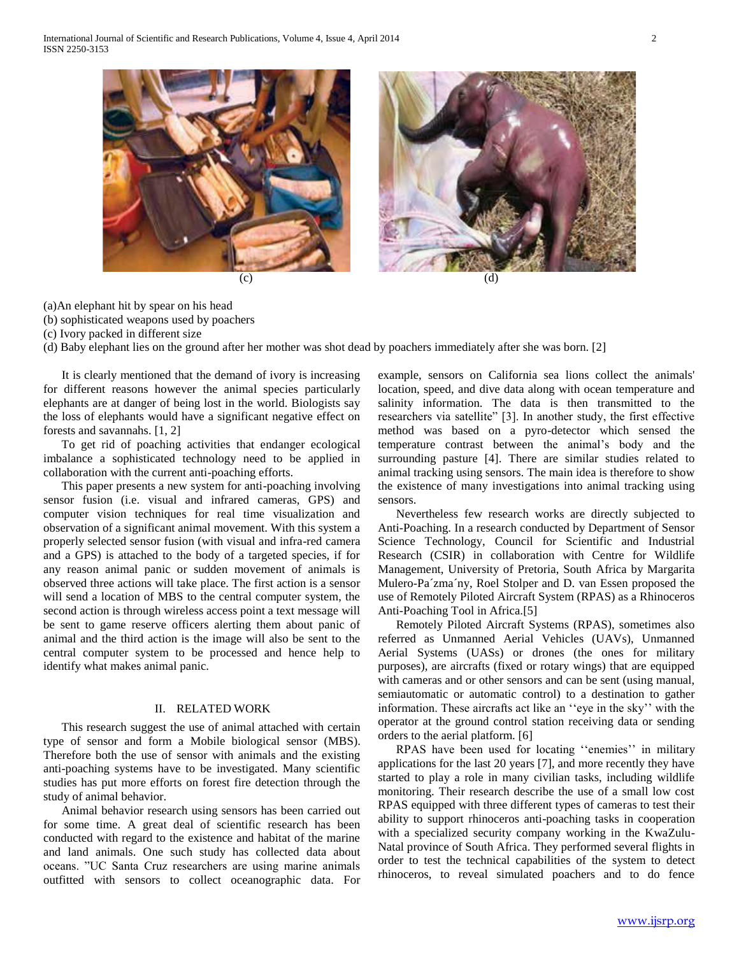

(a)An elephant hit by spear on his head

(b) sophisticated weapons used by poachers

(c) Ivory packed in different size

(d) Baby elephant lies on the ground after her mother was shot dead by poachers immediately after she was born. [2]

 It is clearly mentioned that the demand of ivory is increasing for different reasons however the animal species particularly elephants are at danger of being lost in the world. Biologists say the loss of elephants would have a significant negative effect on forests and savannahs. [1, 2]

 To get rid of poaching activities that endanger ecological imbalance a sophisticated technology need to be applied in collaboration with the current anti-poaching efforts.

 This paper presents a new system for anti-poaching involving sensor fusion (i.e. visual and infrared cameras, GPS) and computer vision techniques for real time visualization and observation of a significant animal movement. With this system a properly selected sensor fusion (with visual and infra-red camera and a GPS) is attached to the body of a targeted species, if for any reason animal panic or sudden movement of animals is observed three actions will take place. The first action is a sensor will send a location of MBS to the central computer system, the second action is through wireless access point a text message will be sent to game reserve officers alerting them about panic of animal and the third action is the image will also be sent to the central computer system to be processed and hence help to identify what makes animal panic.

## II. RELATED WORK

 This research suggest the use of animal attached with certain type of sensor and form a Mobile biological sensor (MBS). Therefore both the use of sensor with animals and the existing anti-poaching systems have to be investigated. Many scientific studies has put more efforts on forest fire detection through the study of animal behavior.

 Animal behavior research using sensors has been carried out for some time. A great deal of scientific research has been conducted with regard to the existence and habitat of the marine and land animals. One such study has collected data about oceans. "UC Santa Cruz researchers are using marine animals outfitted with sensors to collect oceanographic data. For

example, sensors on California sea lions collect the animals' location, speed, and dive data along with ocean temperature and salinity information. The data is then transmitted to the researchers via satellite" [3]. In another study, the first effective method was based on a pyro-detector which sensed the temperature contrast between the animal's body and the surrounding pasture [4]. There are similar studies related to animal tracking using sensors. The main idea is therefore to show the existence of many investigations into animal tracking using sensors.

 Nevertheless few research works are directly subjected to Anti-Poaching. In a research conducted by Department of Sensor Science Technology, Council for Scientific and Industrial Research (CSIR) in collaboration with Centre for Wildlife Management, University of Pretoria, South Africa by Margarita Mulero-Pa´zma´ny, Roel Stolper and D. van Essen proposed the use of Remotely Piloted Aircraft System (RPAS) as a Rhinoceros Anti-Poaching Tool in Africa.[5]

 Remotely Piloted Aircraft Systems (RPAS), sometimes also referred as Unmanned Aerial Vehicles (UAVs), Unmanned Aerial Systems (UASs) or drones (the ones for military purposes), are aircrafts (fixed or rotary wings) that are equipped with cameras and or other sensors and can be sent (using manual, semiautomatic or automatic control) to a destination to gather information. These aircrafts act like an ''eye in the sky'' with the operator at the ground control station receiving data or sending orders to the aerial platform. [6]

 RPAS have been used for locating ''enemies'' in military applications for the last 20 years [7], and more recently they have started to play a role in many civilian tasks, including wildlife monitoring. Their research describe the use of a small low cost RPAS equipped with three different types of cameras to test their ability to support rhinoceros anti-poaching tasks in cooperation with a specialized security company working in the KwaZulu-Natal province of South Africa. They performed several flights in order to test the technical capabilities of the system to detect rhinoceros, to reveal simulated poachers and to do fence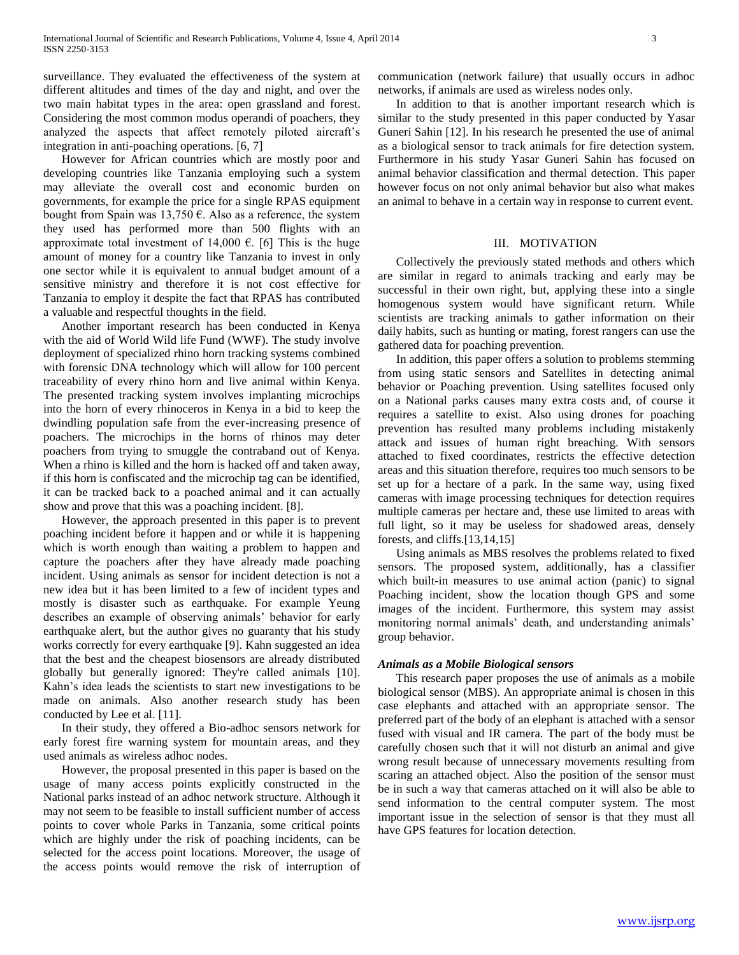surveillance. They evaluated the effectiveness of the system at different altitudes and times of the day and night, and over the two main habitat types in the area: open grassland and forest. Considering the most common modus operandi of poachers, they analyzed the aspects that affect remotely piloted aircraft's integration in anti-poaching operations. [6, 7]

 However for African countries which are mostly poor and developing countries like Tanzania employing such a system may alleviate the overall cost and economic burden on governments, for example the price for a single RPAS equipment bought from Spain was 13,750  $\epsilon$ . Also as a reference, the system they used has performed more than 500 flights with an approximate total investment of 14,000  $\epsilon$ . [6] This is the huge amount of money for a country like Tanzania to invest in only one sector while it is equivalent to annual budget amount of a sensitive ministry and therefore it is not cost effective for Tanzania to employ it despite the fact that RPAS has contributed a valuable and respectful thoughts in the field.

 Another important research has been conducted in Kenya with the aid of World Wild life Fund (WWF). The study involve deployment of specialized rhino horn tracking systems combined with forensic DNA technology which will allow for 100 percent traceability of every rhino horn and live animal within Kenya. The presented tracking system involves implanting microchips into the horn of every rhinoceros in Kenya in a bid to keep the dwindling population safe from the ever-increasing presence of poachers. The microchips in the horns of rhinos may deter poachers from trying to smuggle the contraband out of Kenya. When a rhino is killed and the horn is hacked off and taken away, if this horn is confiscated and the microchip tag can be identified, it can be tracked back to a poached animal and it can actually show and prove that this was a poaching incident. [8].

 However, the approach presented in this paper is to prevent poaching incident before it happen and or while it is happening which is worth enough than waiting a problem to happen and capture the poachers after they have already made poaching incident. Using animals as sensor for incident detection is not a new idea but it has been limited to a few of incident types and mostly is disaster such as earthquake. For example Yeung describes an example of observing animals' behavior for early earthquake alert, but the author gives no guaranty that his study works correctly for every earthquake [9]. Kahn suggested an idea that the best and the cheapest biosensors are already distributed globally but generally ignored: They're called animals [10]. Kahn's idea leads the scientists to start new investigations to be made on animals. Also another research study has been conducted by Lee et al. [11].

 In their study, they offered a Bio-adhoc sensors network for early forest fire warning system for mountain areas, and they used animals as wireless adhoc nodes.

 However, the proposal presented in this paper is based on the usage of many access points explicitly constructed in the National parks instead of an adhoc network structure. Although it may not seem to be feasible to install sufficient number of access points to cover whole Parks in Tanzania, some critical points which are highly under the risk of poaching incidents, can be selected for the access point locations. Moreover, the usage of the access points would remove the risk of interruption of communication (network failure) that usually occurs in adhoc networks, if animals are used as wireless nodes only.

 In addition to that is another important research which is similar to the study presented in this paper conducted by Yasar Guneri Sahin [12]. In his research he presented the use of animal as a biological sensor to track animals for fire detection system. Furthermore in his study Yasar Guneri Sahin has focused on animal behavior classification and thermal detection. This paper however focus on not only animal behavior but also what makes an animal to behave in a certain way in response to current event.

#### III. MOTIVATION

 Collectively the previously stated methods and others which are similar in regard to animals tracking and early may be successful in their own right, but, applying these into a single homogenous system would have significant return. While scientists are tracking animals to gather information on their daily habits, such as hunting or mating, forest rangers can use the gathered data for poaching prevention.

 In addition, this paper offers a solution to problems stemming from using static sensors and Satellites in detecting animal behavior or Poaching prevention. Using satellites focused only on a National parks causes many extra costs and, of course it requires a satellite to exist. Also using drones for poaching prevention has resulted many problems including mistakenly attack and issues of human right breaching. With sensors attached to fixed coordinates, restricts the effective detection areas and this situation therefore, requires too much sensors to be set up for a hectare of a park. In the same way, using fixed cameras with image processing techniques for detection requires multiple cameras per hectare and, these use limited to areas with full light, so it may be useless for shadowed areas, densely forests, and cliffs.[13,14,15]

 Using animals as MBS resolves the problems related to fixed sensors. The proposed system, additionally, has a classifier which built-in measures to use animal action (panic) to signal Poaching incident, show the location though GPS and some images of the incident. Furthermore, this system may assist monitoring normal animals' death, and understanding animals' group behavior.

### *Animals as a Mobile Biological sensors*

 This research paper proposes the use of animals as a mobile biological sensor (MBS). An appropriate animal is chosen in this case elephants and attached with an appropriate sensor. The preferred part of the body of an elephant is attached with a sensor fused with visual and IR camera. The part of the body must be carefully chosen such that it will not disturb an animal and give wrong result because of unnecessary movements resulting from scaring an attached object. Also the position of the sensor must be in such a way that cameras attached on it will also be able to send information to the central computer system. The most important issue in the selection of sensor is that they must all have GPS features for location detection.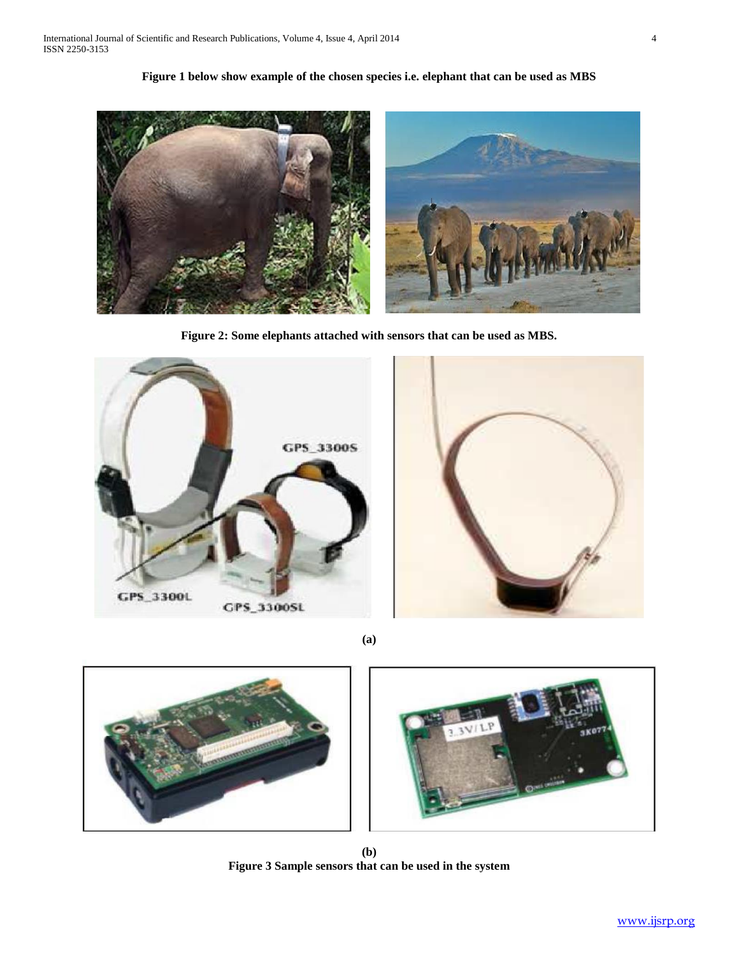**Figure 1 below show example of the chosen species i.e. elephant that can be used as MBS**



**Figure 2: Some elephants attached with sensors that can be used as MBS.**





**(a)**



**(b) Figure 3 Sample sensors that can be used in the system**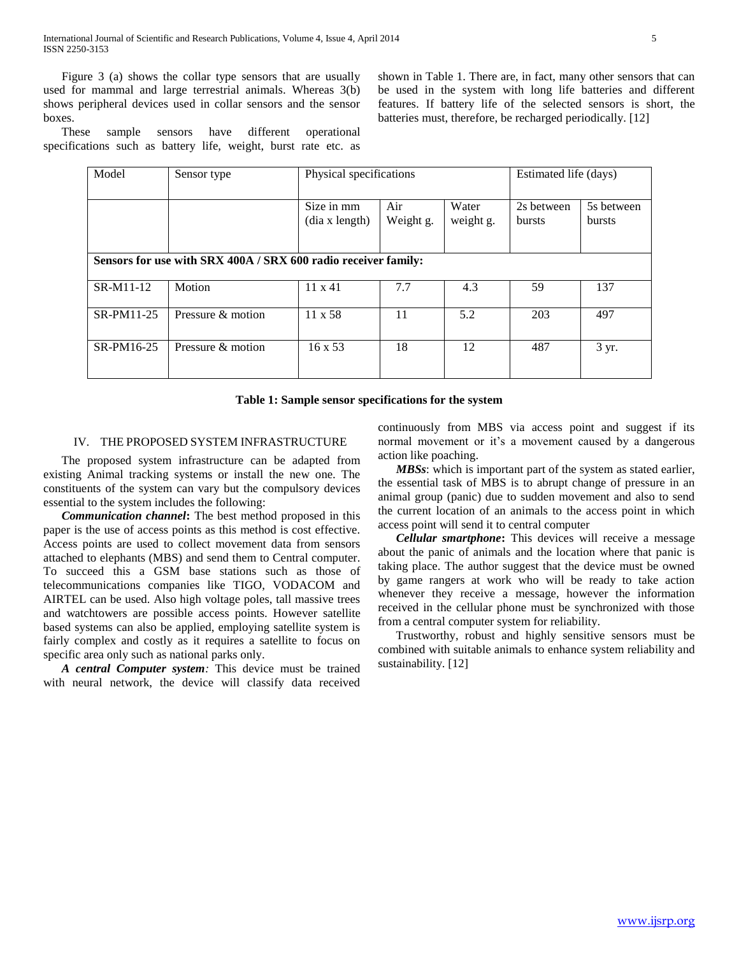Figure 3 (a) shows the collar type sensors that are usually used for mammal and large terrestrial animals. Whereas 3(b) shows peripheral devices used in collar sensors and the sensor boxes.

 These sample sensors have different operational specifications such as battery life, weight, burst rate etc. as shown in Table 1. There are, in fact, many other sensors that can be used in the system with long life batteries and different features. If battery life of the selected sensors is short, the batteries must, therefore, be recharged periodically. [12]

| Model                                                          | Sensor type       | Physical specifications      |                  |                    | Estimated life (days)       |                      |
|----------------------------------------------------------------|-------------------|------------------------------|------------------|--------------------|-----------------------------|----------------------|
|                                                                |                   | Size in mm<br>(dia x length) | Air<br>Weight g. | Water<br>weight g. | 2s between<br><b>bursts</b> | 5s between<br>bursts |
| Sensors for use with SRX 400A / SRX 600 radio receiver family: |                   |                              |                  |                    |                             |                      |
| SR-M11-12                                                      | Motion            | $11 \times 41$               | 7.7              | 4.3                | 59                          | 137                  |
| SR-PM11-25                                                     | Pressure & motion | $11 \times 58$               | 11               | 5.2                | 203                         | 497                  |
| SR-PM16-25                                                     | Pressure & motion | $16 \times 53$               | 18               | 12                 | 487                         | 3 yr.                |

#### **Table 1: Sample sensor specifications for the system**

#### IV. THE PROPOSED SYSTEM INFRASTRUCTURE

 The proposed system infrastructure can be adapted from existing Animal tracking systems or install the new one. The constituents of the system can vary but the compulsory devices essential to the system includes the following:

 *Communication channel***:** The best method proposed in this paper is the use of access points as this method is cost effective. Access points are used to collect movement data from sensors attached to elephants (MBS) and send them to Central computer. To succeed this a GSM base stations such as those of telecommunications companies like TIGO, VODACOM and AIRTEL can be used. Also high voltage poles, tall massive trees and watchtowers are possible access points. However satellite based systems can also be applied, employing satellite system is fairly complex and costly as it requires a satellite to focus on specific area only such as national parks only.

 *A central Computer system:* This device must be trained with neural network, the device will classify data received continuously from MBS via access point and suggest if its normal movement or it's a movement caused by a dangerous action like poaching.

 *MBSs*: which is important part of the system as stated earlier, the essential task of MBS is to abrupt change of pressure in an animal group (panic) due to sudden movement and also to send the current location of an animals to the access point in which access point will send it to central computer

 *Cellular smartphone***:** This devices will receive a message about the panic of animals and the location where that panic is taking place. The author suggest that the device must be owned by game rangers at work who will be ready to take action whenever they receive a message, however the information received in the cellular phone must be synchronized with those from a central computer system for reliability.

 Trustworthy, robust and highly sensitive sensors must be combined with suitable animals to enhance system reliability and sustainability. [12]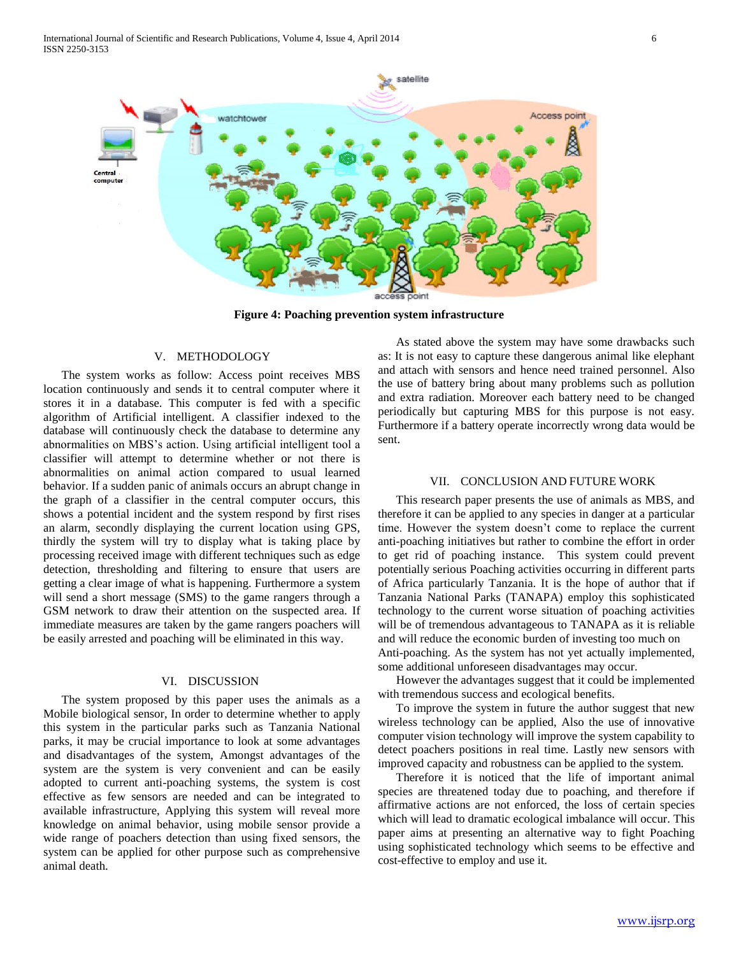

**Figure 4: Poaching prevention system infrastructure**

## V. METHODOLOGY

 The system works as follow: Access point receives MBS location continuously and sends it to central computer where it stores it in a database. This computer is fed with a specific algorithm of Artificial intelligent. A classifier indexed to the database will continuously check the database to determine any abnormalities on MBS's action. Using artificial intelligent tool a classifier will attempt to determine whether or not there is abnormalities on animal action compared to usual learned behavior. If a sudden panic of animals occurs an abrupt change in the graph of a classifier in the central computer occurs, this shows a potential incident and the system respond by first rises an alarm, secondly displaying the current location using GPS, thirdly the system will try to display what is taking place by processing received image with different techniques such as edge detection, thresholding and filtering to ensure that users are getting a clear image of what is happening. Furthermore a system will send a short message (SMS) to the game rangers through a GSM network to draw their attention on the suspected area. If immediate measures are taken by the game rangers poachers will be easily arrested and poaching will be eliminated in this way.

### VI. DISCUSSION

 The system proposed by this paper uses the animals as a Mobile biological sensor, In order to determine whether to apply this system in the particular parks such as Tanzania National parks, it may be crucial importance to look at some advantages and disadvantages of the system, Amongst advantages of the system are the system is very convenient and can be easily adopted to current anti-poaching systems, the system is cost effective as few sensors are needed and can be integrated to available infrastructure, Applying this system will reveal more knowledge on animal behavior, using mobile sensor provide a wide range of poachers detection than using fixed sensors, the system can be applied for other purpose such as comprehensive animal death.

 As stated above the system may have some drawbacks such as: It is not easy to capture these dangerous animal like elephant and attach with sensors and hence need trained personnel. Also the use of battery bring about many problems such as pollution and extra radiation. Moreover each battery need to be changed periodically but capturing MBS for this purpose is not easy. Furthermore if a battery operate incorrectly wrong data would be sent.

#### VII. CONCLUSION AND FUTURE WORK

 This research paper presents the use of animals as MBS, and therefore it can be applied to any species in danger at a particular time. However the system doesn't come to replace the current anti-poaching initiatives but rather to combine the effort in order to get rid of poaching instance. This system could prevent potentially serious Poaching activities occurring in different parts of Africa particularly Tanzania. It is the hope of author that if Tanzania National Parks (TANAPA) employ this sophisticated technology to the current worse situation of poaching activities will be of tremendous advantageous to TANAPA as it is reliable and will reduce the economic burden of investing too much on Anti-poaching. As the system has not yet actually implemented, some additional unforeseen disadvantages may occur.

 However the advantages suggest that it could be implemented with tremendous success and ecological benefits.

 To improve the system in future the author suggest that new wireless technology can be applied, Also the use of innovative computer vision technology will improve the system capability to detect poachers positions in real time. Lastly new sensors with improved capacity and robustness can be applied to the system.

 Therefore it is noticed that the life of important animal species are threatened today due to poaching, and therefore if affirmative actions are not enforced, the loss of certain species which will lead to dramatic ecological imbalance will occur. This paper aims at presenting an alternative way to fight Poaching using sophisticated technology which seems to be effective and cost-effective to employ and use it.